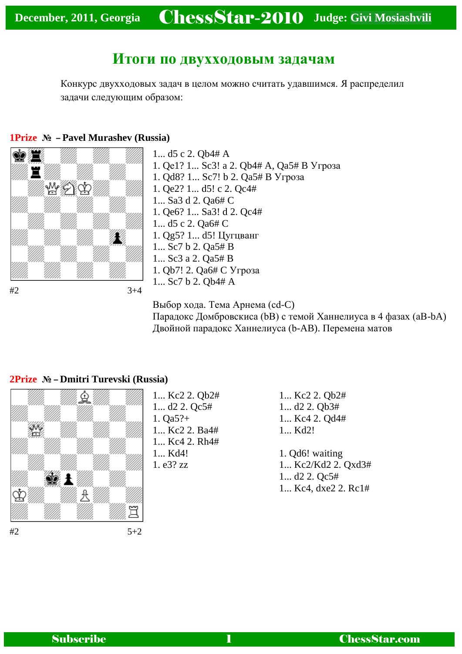# **Итоги по двухходовым задачам**

Конкурс двухходовых задач в целом можно считать удавшимся. Я распределил задачи следующим образом:

#### **1Prize № – [Pavel Murashev \(Russia\)](javascript:void(0);)**



1... d5 c 2. Qb4# A 1. Qе1? 1... Sc3! a 2. Qb4# A, Qa5# B Угроза 1. Qd8? 1... Sc7! b 2. Qa5# B Угроза 1. Qe2? 1... d5! c 2. Qc4# 1... Sa3 d 2. Qa6# C 1. Qe6? 1... Sa3! d 2. Qc4# 1... d5 c 2. Qa6# C 1. Qg5? 1... d5! Цугцванг 1... Sc7 b 2. Qa5# B 1... Sc3 a 2. Qa5# B 1. Qb7! 2. Qa6# C Угроза 1... Sc7 b 2. Qb4# A

Выбор хода. Тема Арнема (cd-C) Парадокс Домбровскиса (bB) с темой Ханнелиуса в 4 фазах (aB-bA) Двойной парадокс Ханнелиуса (b-AB). Перемена матов



1... Kc2 2. Qb2# 1... d2 2. Qc5# 1. Qa5?+ 1... Kc2 2. Ba4# 1... Kc4 2. Rh4# 1... Kd4! 1. e3? zz

- 1... Kc2 2. Qb2# 1... d2 2. Qb3# 1... Kc4 2. Qd4# 1... Kd2!
- 1. Qd6! waiting 1... Kc2/Kd2 2. Qxd3# 1... d2 2. Qc5# 1... Kc4, dxe2 2. Rc1#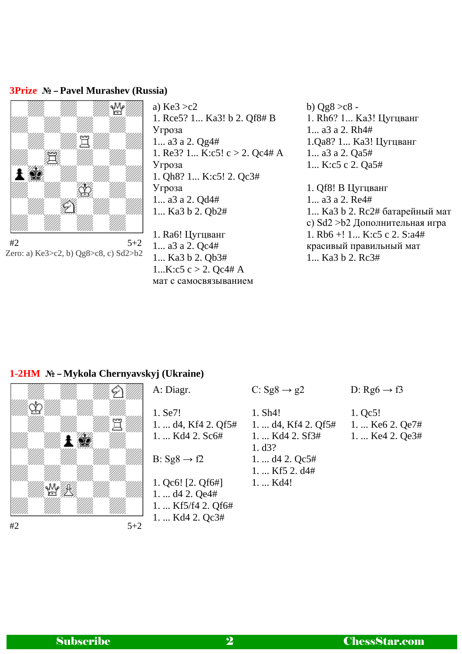#### **3Prize № – [Pavel Murashev \(Russia\)](javascript:void(0);)**



 $#2$  5+2 Zero: a) Ke3>c2, b) Qg8>c8, c) Sd2>b2

a)  $Ke3 > c2$ 1. Rce5? 1... Ka3! b 2. Qf8# B Угроза 1... a3 a 2. Qg4# 1. Re3? 1... K:c5! c > 2. Qc4# A Угроза 1. Qh8? 1... K:c5! 2. Qc3# Угроза 1... a3 a 2. Qd4# 1... Ka3 b 2. Qb2#

1. Ra6! Цугцванг 1... a3 a 2. Qc4# 1... Ka3 b 2. Qb3# 1... $K: c5 c > 2$ . Oc4# A мат с самосвязыванием b)  $Qg8 > c8$  -1. Rh6? 1... Ka3! Цугцванг 1... a3 a 2. Rh4# 1.Qa8? 1... Ka3! Цугцванг 1... a3 a 2. Qa5# 1... K:c5 c 2. Qa5# 1. Qf8! B Цугцванг 1... a3 a 2. Re4# 1... Ka3 b 2. Rc2# батарейный мат с) Sd2 >b2 Дополнительная игра 1. Rb6 +! 1... K:c5 c 2. S:a4# красивый правильный мат 1... Ka3 b 2. Rc3#

### **1-2HM № – [Mykola Chernyavskyj \(Ukraine\)](javascript:void(0);)**



| A: Diagr.                                                               | C: $\text{Sg8} \rightarrow \text{g2}$                           | D: $Rg6 \rightarrow f3$                                      |
|-------------------------------------------------------------------------|-----------------------------------------------------------------|--------------------------------------------------------------|
| 1. Se7!<br>1.  d4, Kf4 2. Qf5#<br>$1. \ldots$ Kd4 2. Sc6#               | 1. Sh4!<br>1. $d4$ , Kf4 2. Qf5#<br>1.  Kd4 2. Sf3#<br>1. $d3?$ | 1. Qc5!<br>1.  Ke <sub>6</sub> 2. Qe7#<br>1. $Ke4$ 2. $Qe3#$ |
| B: $Sg8 \rightarrow f2$                                                 | 1. $d4$ 2. Qc5#<br>1.  Kf5 2. d4#                               |                                                              |
| 1. $Qc6!$ [2. $Qf6#$ ]<br>$1. \ldots$ d4 2. Qe4#<br>1. $Kf5/f4$ 2. Qf6# | 1.  Kd4!                                                        |                                                              |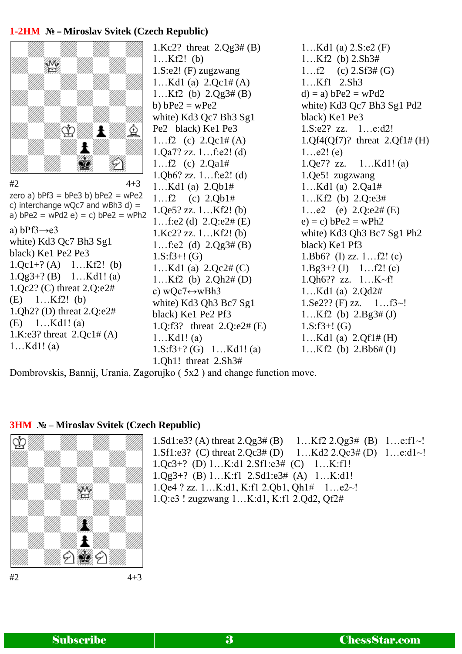#### **1-2HM № – [Miroslav Svitek \(Czech Republic\)](javascript:void(0);)**



 $#2$  4+3 zero a)  $bPf3 = bPe3 b) bPe2 = wPe2$ c) interchange wQc7 and wBh3 d) = a)  $bPe2 = wPd2 e$  = c)  $bPe2 = wPh2$ a) bPf $3 \rightarrow e3$ white) Kd3 Qc7 Bh3 Sg1 black) Ke1 Pe2 Pe3 1.Qc1+? (A) 1…Kf2! (b)  $1.$ Qg $3+$ ? (B)  $1...$ Kd $1!$  (a) 1.Qc2? (C) threat 2.Q:e2# (E) 1…Kf2! (b) 1.Qh2? (D) threat 2.Q:e2# (E) 1…Kd1! (a) 1.K:e3? threat 2.Qc1# (A) 1…Kd1! (a)

1.Kc2? threat 2.Qg3# (B) 1…Kf2! (b) 1.S:e2! (F) zugzwang 1…Kd1 (a) 2.Qc1# (A) 1…Kf2 (b)  $2.Qg3# (B)$ b)  $bPe2 = wPe2$ white) Kd3 Qc7 Bh3 Sg1 Pe2 black) Ke1 Pe3 1…f2 (c)  $2.Qc1\#(A)$ 1.Qa7? zz. 1…f:e2! (d) 1…f2 (c) 2.Qa1# 1.Qb6? zz. 1…f:e2! (d) 1…Kd1 (a) 2.Qb1# 1…f2 (c) 2.Qb1# 1.Qe5? zz. 1…Kf2! (b) 1…f:e2 (d) 2.Q:e2# (E) 1.Kc2? zz. 1…Kf2! (b) 1…f:e2 (d) 2.Qg3# (B) 1.S:f3+! (G) 1…Kd1 (a) 2.Qc2# (C) 1…Kf2 (b) 2.Qh2# (D) c) wQc7 $\leftrightarrow$ wBh3 white) Kd3 Qh3 Bc7 Sg1 black) Ke1 Pe2 Pf3 1.Q:f3? threat 2.Q:e2# (E) 1…Kd1! (a) 1.S:f3+? (G) 1…Kd1! (a) 1.Qh1! threat 2.Sh3#

1…Kd1 (a) 2.S:e2 (F) 1…Kf2 (b) 2.Sh3# 1…f2 (c)  $2.Sf3\#(G)$ 1…Kf1 2.Sh3  $d$ ) = a)  $b$ Pe2 = wPd2 white) Kd3 Qc7 Bh3 Sg1 Pd2 black) Ke1 Pe3 1.S:e2? zz. 1…e:d2! 1.Qf4(Qf7)? threat 2.Qf1# (H)  $1...e2!$  (e) 1.Qe7? zz. 1…Kd1! (a) 1.Qe5! zugzwang 1…Kd1 (a) 2.Qa1# 1…Kf2 (b) 2.Q:e3# 1…e2 (e)  $2.0$ :e2# (E)  $e) = c$ )  $bPe2 = wPh2$ white) Kd3 Qh3 Bc7 Sg1 Ph2 black) Ke1 Pf3 1.Bb6? (I) zz. 1…f2! (c)  $1.Bg3+? (J) \quad 1...f2! (c)$ 1.Qh6?? zz. 1…K~f! 1…Kd1 (a) 2.Qd2#  $1.$ Se2?? (F) zz.  $1...$ f3~! 1…Kf2 (b)  $2.Bg3# (J)$  $1.S: f3+! (G)$ 1…Kd1 (a) 2.Qf1# (H) 1…Kf2 (b) 2.Bb6# (I)

Dombrovskis, Bannij, Urania, Zagorujko ( 5x2 ) and change function move.

#### **3HM № – [Miroslav Svitek \(Czech Republic\)](javascript:void(0);)**



1.Sd1:e3? (A) threat 2.Qg3# (B) 1…Kf2 2.Qg3# (B) 1…e:f1~! 1.Sf1:e3? (C) threat 2.Qc3# (D) 1…Kd2 2.Qc3# (D) 1…e:d1~! 1.Qc3+? (D) 1…K:d1 2.Sf1:e3# (C) 1…K:f1! 1.Qg3+? (B) 1…K:f1 2.Sd1:e3# (A) 1…K:d1! 1.Qe4 ? zz. 1…K:d1, K:f1 2.Qb1, Qh1# 1…e2~! 1.Q:e3 ! zugzwang 1…K:d1, K:f1 2.Qd2, Qf2#